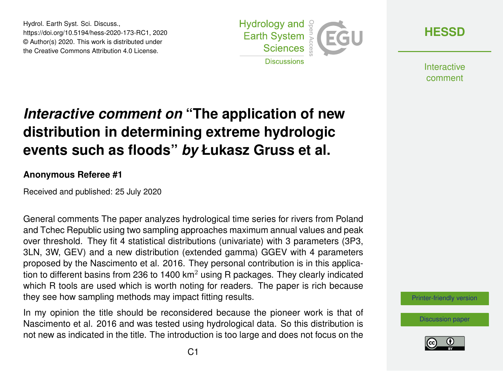Hydrol. Earth Syst. Sci. Discuss., https://doi.org/10.5194/hess-2020-173-RC1, 2020 © Author(s) 2020. This work is distributed under the Creative Commons Attribution 4.0 License.



**[HESSD](https://hess.copernicus.org/preprints/)**

**Interactive** comment

## *Interactive comment on* **"The application of new distribution in determining extreme hydrologic events such as floods"** *by* **Łukasz Gruss et al.**

## **Anonymous Referee #1**

Received and published: 25 July 2020

General comments The paper analyzes hydrological time series for rivers from Poland and Tchec Republic using two sampling approaches maximum annual values and peak over threshold. They fit 4 statistical distributions (univariate) with 3 parameters (3P3, 3LN, 3W, GEV) and a new distribution (extended gamma) GGEV with 4 parameters proposed by the Nascimento et al. 2016. They personal contribution is in this application to different basins from 236 to 1400  $km<sup>2</sup>$  using R packages. They clearly indicated which R tools are used which is worth noting for readers. The paper is rich because they see how sampling methods may impact fitting results.

In my opinion the title should be reconsidered because the pioneer work is that of Nascimento et al. 2016 and was tested using hydrological data. So this distribution is not new as indicated in the title. The introduction is too large and does not focus on the [Printer-friendly version](https://hess.copernicus.org/preprints/hess-2020-173/hess-2020-173-RC1-print.pdf)

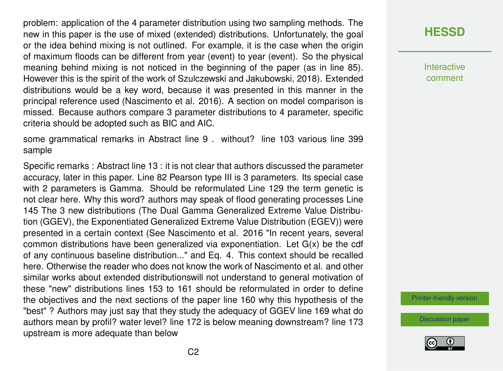problem: application of the 4 parameter distribution using two sampling methods. The new in this paper is the use of mixed (extended) distributions. Unfortunately, the goal or the idea behind mixing is not outlined. For example, it is the case when the origin of maximum floods can be different from year (event) to year (event). So the physical meaning behind mixing is not noticed in the beginning of the paper (as in line 85). However this is the spirit of the work of Szulczewski and Jakubowski, 2018). Extended distributions would be a key word, because it was presented in this manner in the principal reference used (Nascimento et al. 2016). A section on model comparison is missed. Because authors compare 3 parameter distributions to 4 parameter, specific criteria should be adopted such as BIC and AIC.

some grammatical remarks in Abstract line 9 . without? line 103 various line 399 sample

Specific remarks : Abstract line 13 : it is not clear that authors discussed the parameter accuracy, later in this paper. Line 82 Pearson type III is 3 parameters. Its special case with 2 parameters is Gamma. Should be reformulated Line 129 the term genetic is not clear here. Why this word? authors may speak of flood generating processes Line 145 The 3 new distributions (The Dual Gamma Generalized Extreme Value Distribution (GGEV), the Exponentiated Generalized Extreme Value Distribution (EGEV)) were presented in a certain context (See Nascimento et al. 2016 "In recent years, several common distributions have been generalized via exponentiation. Let G(x) be the cdf of any continuous baseline distribution..." and Eq. 4. This context should be recalled here. Otherwise the reader who does not know the work of Nascimento et al. and other similar works about extended distributionswill not understand to general motivation of these "new" distributions lines 153 to 161 should be reformulated in order to define the objectives and the next sections of the paper line 160 why this hypothesis of the "best" ? Authors may just say that they study the adequacy of GGEV line 169 what do authors mean by profil? water level? line 172 is below meaning downstream? line 173 upstream is more adequate than below

**[HESSD](https://hess.copernicus.org/preprints/)**

**Interactive** comment

[Printer-friendly version](https://hess.copernicus.org/preprints/hess-2020-173/hess-2020-173-RC1-print.pdf)

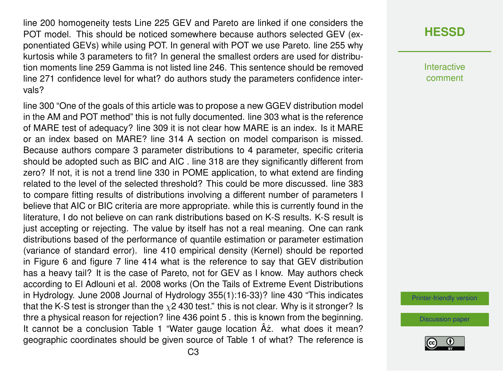line 200 homogeneity tests Line 225 GEV and Pareto are linked if one considers the POT model. This should be noticed somewhere because authors selected GEV (exponentiated GEVs) while using POT. In general with POT we use Pareto. line 255 why kurtosis while 3 parameters to fit? In general the smallest orders are used for distribution moments line 259 Gamma is not listed line 246. This sentence should be removed line 271 confidence level for what? do authors study the parameters confidence intervals?

line 300 "One of the goals of this article was to propose a new GGEV distribution model in the AM and POT method" this is not fully documented. line 303 what is the reference of MARE test of adequacy? line 309 it is not clear how MARE is an index. Is it MARE or an index based on MARE? line 314 A section on model comparison is missed. Because authors compare 3 parameter distributions to 4 parameter, specific criteria should be adopted such as BIC and AIC . line 318 are they significantly different from zero? If not, it is not a trend line 330 in POME application, to what extend are finding related to the level of the selected threshold? This could be more discussed. line 383 to compare fitting results of distributions involving a different number of parameters I believe that AIC or BIC criteria are more appropriate. while this is currently found in the literature, I do not believe on can rank distributions based on K-S results. K-S result is just accepting or rejecting. The value by itself has not a real meaning. One can rank distributions based of the performance of quantile estimation or parameter estimation (variance of standard error). line 410 empirical density (Kernel) should be reported in Figure 6 and figure 7 line 414 what is the reference to say that GEV distribution has a heavy tail? It is the case of Pareto, not for GEV as I know. May authors check according to El Adlouni et al. 2008 works (On the Tails of Extreme Event Distributions in Hydrology. June 2008 Journal of Hydrology 355(1):16-33)? line 430 "This indicates that the K-S test is stronger than the  $\chi$ 2 430 test." this is not clear. Why is it stronger? Is thre a physical reason for rejection? line 436 point 5 . this is known from the beginning. It cannot be a conclusion Table 1 "Water gauge location  $A\dot{z}$ . what does it mean? geographic coordinates should be given source of Table 1 of what? The reference is

## **[HESSD](https://hess.copernicus.org/preprints/)**

**Interactive** comment

[Printer-friendly version](https://hess.copernicus.org/preprints/hess-2020-173/hess-2020-173-RC1-print.pdf)